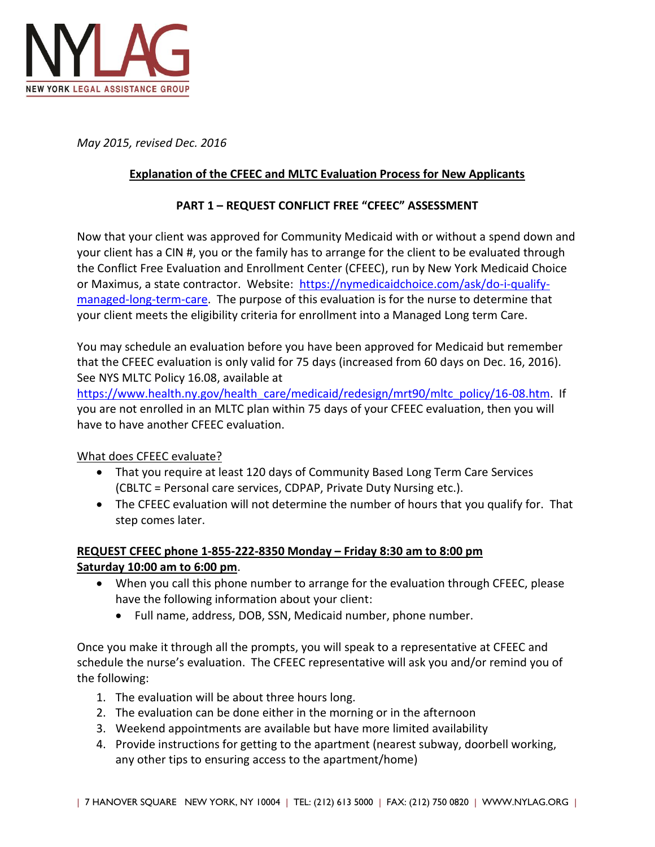

*May 2015, revised Dec. 2016*

### **Explanation of the CFEEC and MLTC Evaluation Process for New Applicants**

#### **PART 1 – REQUEST CONFLICT FREE "CFEEC" ASSESSMENT**

Now that your client was approved for Community Medicaid with or without a spend down and your client has a CIN #, you or the family has to arrange for the client to be evaluated through the Conflict Free Evaluation and Enrollment Center (CFEEC), run by New York Medicaid Choice or Maximus, a state contractor. Website: [https://nymedicaidchoice.com/ask/do-i-qualify](https://nymedicaidchoice.com/ask/do-i-qualify-managed-long-term-care)[managed-long-term-care.](https://nymedicaidchoice.com/ask/do-i-qualify-managed-long-term-care) The purpose of this evaluation is for the nurse to determine that your client meets the eligibility criteria for enrollment into a Managed Long term Care.

You may schedule an evaluation before you have been approved for Medicaid but remember that the CFEEC evaluation is only valid for 75 days (increased from 60 days on Dec. 16, 2016). See NYS MLTC Policy 16.08, available at

[https://www.health.ny.gov/health\\_care/medicaid/redesign/mrt90/mltc\\_policy/16-08.htm.](https://www.health.ny.gov/health_care/medicaid/redesign/mrt90/mltc_policy/16-08.htm) If you are not enrolled in an MLTC plan within 75 days of your CFEEC evaluation, then you will have to have another CFEEC evaluation.

What does CFEEC evaluate?

- That you require at least 120 days of Community Based Long Term Care Services (CBLTC = Personal care services, CDPAP, Private Duty Nursing etc.).
- The CFEEC evaluation will not determine the number of hours that you qualify for. That step comes later.

### **REQUEST CFEEC phone 1-855-222-8350 Monday – Friday 8:30 am to 8:00 pm Saturday 10:00 am to 6:00 pm**.

- When you call this phone number to arrange for the evaluation through CFEEC, please have the following information about your client:
	- Full name, address, DOB, SSN, Medicaid number, phone number.

Once you make it through all the prompts, you will speak to a representative at CFEEC and schedule the nurse's evaluation. The CFEEC representative will ask you and/or remind you of the following:

- 1. The evaluation will be about three hours long.
- 2. The evaluation can be done either in the morning or in the afternoon
- 3. Weekend appointments are available but have more limited availability
- 4. Provide instructions for getting to the apartment (nearest subway, doorbell working, any other tips to ensuring access to the apartment/home)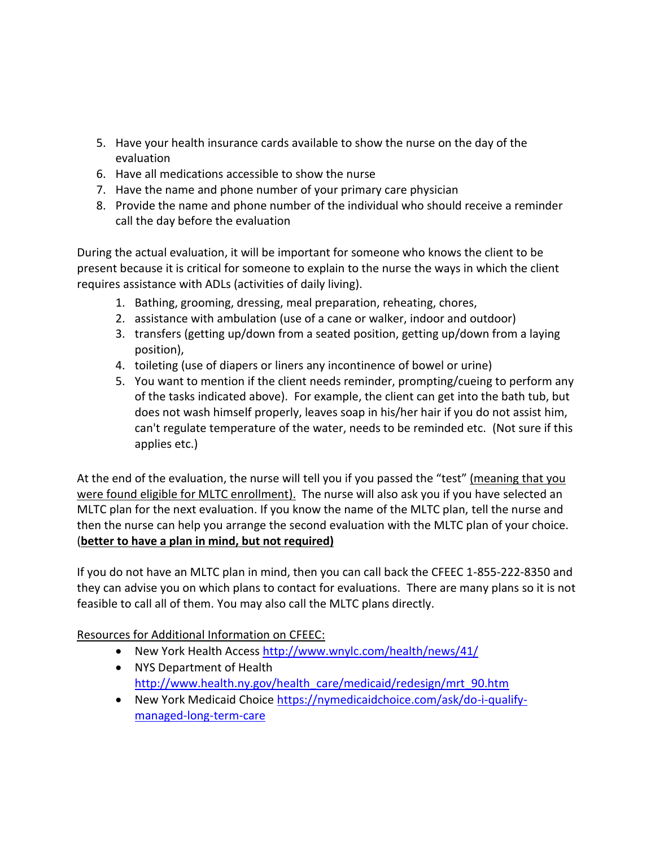- 5. Have your health insurance cards available to show the nurse on the day of the evaluation
- 6. Have all medications accessible to show the nurse
- 7. Have the name and phone number of your primary care physician
- 8. Provide the name and phone number of the individual who should receive a reminder call the day before the evaluation

During the actual evaluation, it will be important for someone who knows the client to be present because it is critical for someone to explain to the nurse the ways in which the client requires assistance with ADLs (activities of daily living).

- 1. Bathing, grooming, dressing, meal preparation, reheating, chores,
- 2. assistance with ambulation (use of a cane or walker, indoor and outdoor)
- 3. transfers (getting up/down from a seated position, getting up/down from a laying position),
- 4. toileting (use of diapers or liners any incontinence of bowel or urine)
- 5. You want to mention if the client needs reminder, prompting/cueing to perform any of the tasks indicated above). For example, the client can get into the bath tub, but does not wash himself properly, leaves soap in his/her hair if you do not assist him, can't regulate temperature of the water, needs to be reminded etc. (Not sure if this applies etc.)

At the end of the evaluation, the nurse will tell you if you passed the "test" (meaning that you were found eligible for MLTC enrollment). The nurse will also ask you if you have selected an MLTC plan for the next evaluation. If you know the name of the MLTC plan, tell the nurse and then the nurse can help you arrange the second evaluation with the MLTC plan of your choice. (**better to have a plan in mind, but not required)**

If you do not have an MLTC plan in mind, then you can call back the CFEEC 1-855-222-8350 and they can advise you on which plans to contact for evaluations. There are many plans so it is not feasible to call all of them. You may also call the MLTC plans directly.

Resources for Additional Information on CFEEC:

- New York Health Access<http://www.wnylc.com/health/news/41/>
- NYS Department of Health [http://www.health.ny.gov/health\\_care/medicaid/redesign/mrt\\_90.htm](http://www.health.ny.gov/health_care/medicaid/redesign/mrt_90.htm)
- New York Medicaid Choice [https://nymedicaidchoice.com/ask/do-i-qualify](https://nymedicaidchoice.com/ask/do-i-qualify-managed-long-term-care)[managed-long-term-care](https://nymedicaidchoice.com/ask/do-i-qualify-managed-long-term-care)